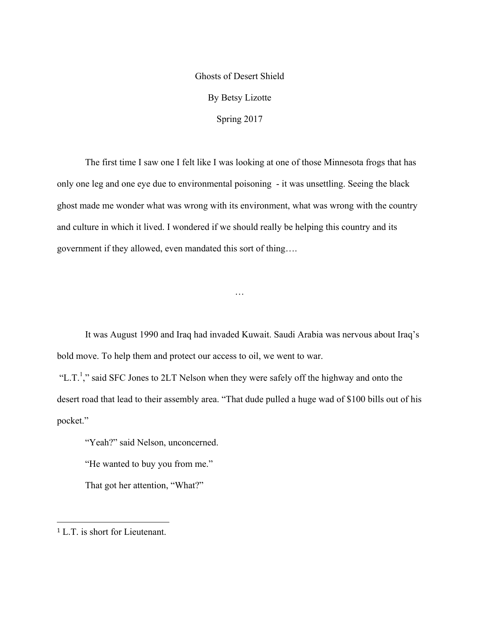## Ghosts of Desert Shield By Betsy Lizotte Spring 2017

The first time I saw one I felt like I was looking at one of those Minnesota frogs that has only one leg and one eye due to environmental poisoning - it was unsettling. Seeing the black ghost made me wonder what was wrong with its environment, what was wrong with the country and culture in which it lived. I wondered if we should really be helping this country and its government if they allowed, even mandated this sort of thing….

It was August 1990 and Iraq had invaded Kuwait. Saudi Arabia was nervous about Iraq's bold move. To help them and protect our access to oil, we went to war.

…

"L.T.<sup>1</sup>," said SFC Jones to 2LT Nelson when they were safely off the highway and onto the desert road that lead to their assembly area. "That dude pulled a huge wad of \$100 bills out of his pocket."

"Yeah?" said Nelson, unconcerned.

"He wanted to buy you from me."

That got her attention, "What?"

 <sup>1</sup> L.T. is short for Lieutenant.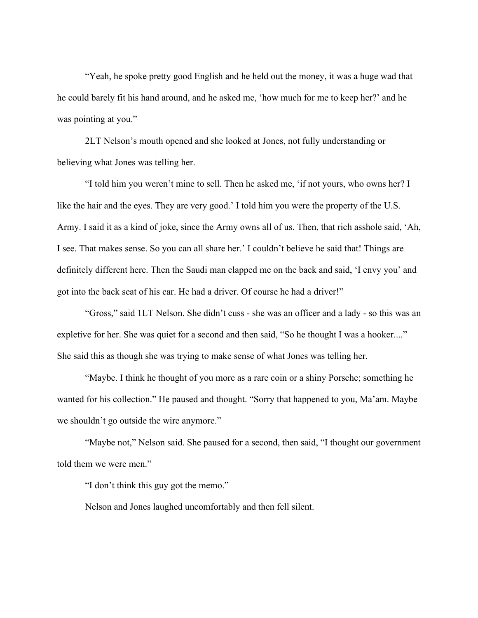"Yeah, he spoke pretty good English and he held out the money, it was a huge wad that he could barely fit his hand around, and he asked me, 'how much for me to keep her?' and he was pointing at you."

2LT Nelson's mouth opened and she looked at Jones, not fully understanding or believing what Jones was telling her.

"I told him you weren't mine to sell. Then he asked me, 'if not yours, who owns her? I like the hair and the eyes. They are very good.' I told him you were the property of the U.S. Army. I said it as a kind of joke, since the Army owns all of us. Then, that rich asshole said, 'Ah, I see. That makes sense. So you can all share her.' I couldn't believe he said that! Things are definitely different here. Then the Saudi man clapped me on the back and said, 'I envy you' and got into the back seat of his car. He had a driver. Of course he had a driver!"

"Gross," said 1LT Nelson. She didn't cuss - she was an officer and a lady - so this was an expletive for her. She was quiet for a second and then said, "So he thought I was a hooker...." She said this as though she was trying to make sense of what Jones was telling her.

"Maybe. I think he thought of you more as a rare coin or a shiny Porsche; something he wanted for his collection." He paused and thought. "Sorry that happened to you, Ma'am. Maybe we shouldn't go outside the wire anymore."

"Maybe not," Nelson said. She paused for a second, then said, "I thought our government told them we were men."

"I don't think this guy got the memo."

Nelson and Jones laughed uncomfortably and then fell silent.